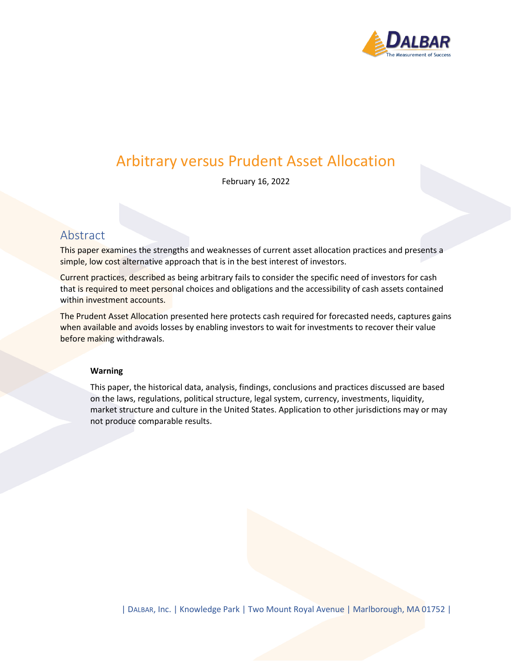

# Arbitrary versus Prudent Asset Allocation

February 16, 2022

## Abstract

This paper examines the strengths and weaknesses of current asset allocation practices and presents a simple, low cost alternative approach that is in the best interest of investors.

Current practices, described as being arbitrary fails to consider the specific need of investors for cash that is required to meet personal choices and obligations and the accessibility of cash assets contained within investment accounts.

The Prudent Asset Allocation presented here protects cash required for forecasted needs, captures gains when available and avoids losses by enabling investors to wait for investments to recover their value before making withdrawals.

#### **Warning**

This paper, the historical data, analysis, findings, conclusions and practices discussed are based on the laws, regulations, political structure, legal system, currency, investments, liquidity, market structure and culture in the United States. Application to other jurisdictions may or may not produce comparable results.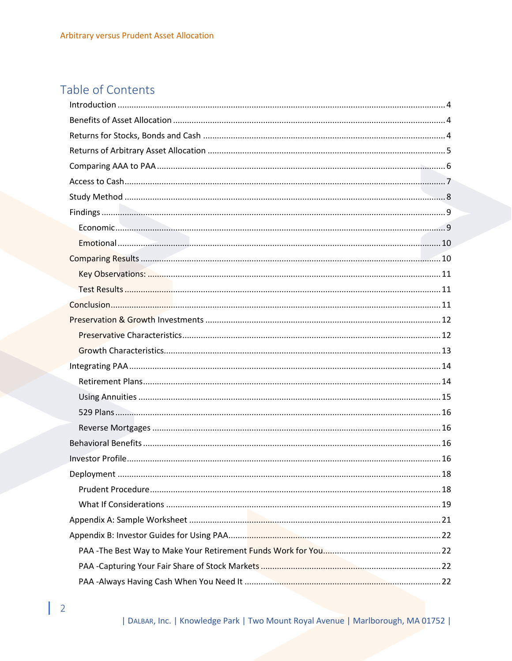# Table of Contents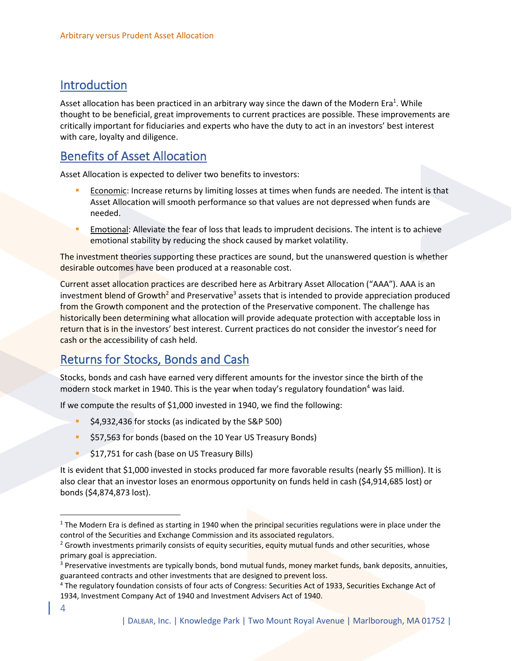## <span id="page-3-0"></span>Introduction

Asset allocation has been practiced in an arbitrary way since the dawn of the Modern Era<sup>1</sup>. While thought to be beneficial, great improvements to current practices are possible. These improvements are critically important for fiduciaries and experts who have the duty to act in an investors' best interest with care, loyalty and diligence.

## <span id="page-3-1"></span>Benefits of Asset Allocation

Asset Allocation is expected to deliver two benefits to investors:

- Economic: Increase returns by limiting losses at times when funds are needed. The intent is that Asset Allocation will smooth performance so that values are not depressed when funds are needed.
- Emotional: Alleviate the fear of loss that leads to imprudent decisions. The intent is to achieve emotional stability by reducing the shock caused by market volatility.

The investment theories supporting these practices are sound, but the unanswered question is whether desirable outcomes have been produced at a reasonable cost.

Current asset allocation practices are described here as Arbitrary Asset Allocation ("AAA"). AAA is an investment blend of Growth<sup>2</sup> and Preservative<sup>3</sup> assets that is intended to provide appreciation produced from the Growth component and the protection of the Preservative component. The challenge has historically been determining what allocation will provide adequate protection with acceptable loss in return that is in the investors' best interest. Current practices do not consider the investor's need for cash or the accessibility of cash held.

## <span id="page-3-2"></span>Returns for Stocks, Bonds and Cash

Stocks, bonds and cash have earned very different amounts for the investor since the birth of the modern stock market in 1940. This is the year when today's regulatory foundation<sup>4</sup> was laid.

If we compute the results of \$1,000 invested in 1940, we find the following:

- \$4,932,436 for stocks (as indicated by the S&P 500)
- \$57,563 for bonds (based on the 10 Year US Treasury Bonds)
- **\$17,751 for cash (base on US Treasury Bills)**

It is evident that \$1,000 invested in stocks produced far more favorable results (nearly \$5 million). It is also clear that an investor loses an enormous opportunity on funds held in cash (\$4,914,685 lost) or bonds (\$4,874,873 lost).

 $1$  The Modern Era is defined as starting in 1940 when the principal securities regulations were in place under the control of the Securities and Exchange Commission and its associated regulators.

<sup>&</sup>lt;sup>2</sup> Growth investments primarily consists of equity securities, equity mutual funds and other securities, whose primary goal is appreciation.

<sup>&</sup>lt;sup>3</sup> Preservative investments are typically bonds, bond mutual funds, money market funds, bank deposits, annuities, guaranteed contracts and other investments that are designed to prevent loss.

<sup>&</sup>lt;sup>4</sup> The regulatory foundation consists of four acts of Congress: Securities Act of 1933, Securities Exchange Act of 1934, Investment Company Act of 1940 and Investment Advisers Act of 1940.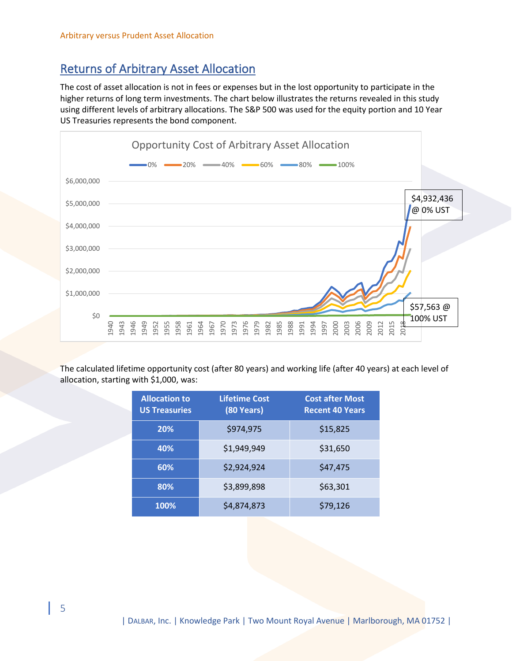# <span id="page-4-0"></span>Returns of Arbitrary Asset Allocation

The cost of asset allocation is not in fees or expenses but in the lost opportunity to participate in the higher returns of long term investments. The chart below illustrates the returns revealed in this study using different levels of arbitrary allocations. The S&P 500 was used for the equity portion and 10 Year US Treasuries represents the bond component.



The calculated lifetime opportunity cost (after 80 years) and working life (after 40 years) at each level of allocation, starting with \$1,000, was:

| <b>Allocation to</b><br><b>US Treasuries</b> | <b>Lifetime Cost</b><br>(80 Years) | <b>Cost after Most</b><br><b>Recent 40 Years</b> |
|----------------------------------------------|------------------------------------|--------------------------------------------------|
| 20%                                          | \$974,975                          | \$15,825                                         |
| 40%                                          | \$1,949,949                        | \$31,650                                         |
| 60%                                          | \$2,924,924                        | \$47,475                                         |
| 80%                                          | \$3,899,898                        | \$63,301                                         |
| 100%                                         | \$4,874,873                        | \$79,126                                         |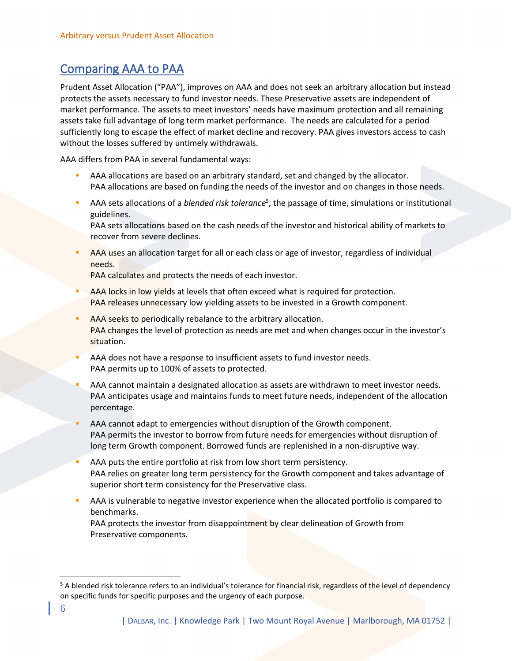## <span id="page-5-0"></span>Comparing AAA to PAA

Prudent Asset Allocation ("PAA"), improves on AAA and does not seek an arbitrary allocation but instead protects the assets necessary to fund investor needs. These Preservative assets are independent of market performance. The assets to meet investors' needs have maximum protection and all remaining assets take full advantage of long term market performance. The needs are calculated for a period sufficiently long to escape the effect of market decline and recovery. PAA gives investors access to cash without the losses suffered by untimely withdrawals.

AAA differs from PAA in several fundamental ways:

- AAA allocations are based on an arbitrary standard, set and changed by the allocator. PAA allocations are based on funding the needs of the investor and on changes in those needs.
- **AAA** sets allocations of a *blended risk tolerance*<sup>5</sup>, the passage of time, simulations or institutional guidelines.

PAA sets allocations based on the cash needs of the investor and historical ability of markets to recover from severe declines.

AAA uses an allocation target for all or each class or age of investor, regardless of individual needs.

PAA calculates and protects the needs of each investor.

- AAA locks in low yields at levels that often exceed what is required for protection. PAA releases unnecessary low yielding assets to be invested in a Growth component.
- AAA seeks to periodically rebalance to the arbitrary allocation. PAA changes the level of protection as needs are met and when changes occur in the investor's situation.
- AAA does not have a response to insufficient assets to fund investor needs. PAA permits up to 100% of assets to protected.
- AAA cannot maintain a designated allocation as assets are withdrawn to meet investor needs. PAA anticipates usage and maintains funds to meet future needs, independent of the allocation percentage.
- AAA cannot adapt to emergencies without disruption of the Growth component. PAA permits the investor to borrow from future needs for emergencies without disruption of long term Growth component. Borrowed funds are replenished in a non-disruptive way.
- AAA puts the entire portfolio at risk from low short term persistency. PAA relies on greater long term persistency for the Growth component and takes advantage of superior short term consistency for the Preservative class.
- AAA is vulnerable to negative investor experience when the allocated portfolio is compared to benchmarks.

PAA protects the investor from disappointment by clear delineation of Growth from Preservative components.

<sup>&</sup>lt;sup>5</sup> A blended risk tolerance refers to an individual's tolerance for financial risk, regardless of the level of dependency on specific funds for specific purposes and the urgency of each purpose.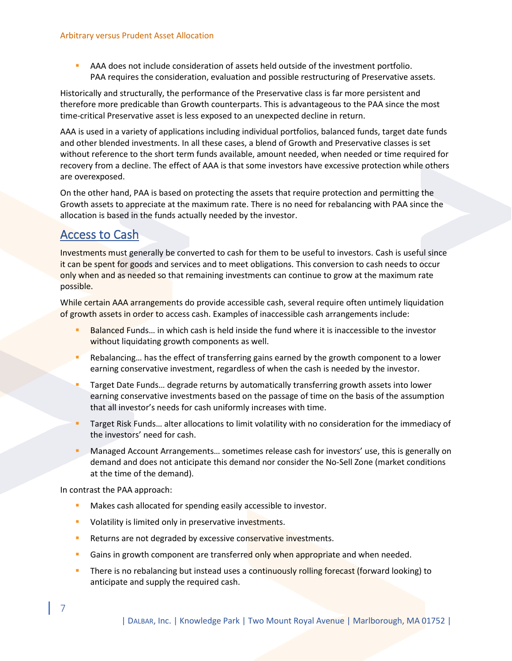**• AAA does not include consideration of assets held outside of the investment portfolio.** PAA requires the consideration, evaluation and possible restructuring of Preservative assets.

Historically and structurally, the performance of the Preservative class is far more persistent and therefore more predicable than Growth counterparts. This is advantageous to the PAA since the most time-critical Preservative asset is less exposed to an unexpected decline in return.

AAA is used in a variety of applications including individual portfolios, balanced funds, target date funds and other blended investments. In all these cases, a blend of Growth and Preservative classes is set without reference to the short term funds available, amount needed, when needed or time required for recovery from a decline. The effect of AAA is that some investors have excessive protection while others are overexposed.

On the other hand, PAA is based on protecting the assets that require protection and permitting the Growth assets to appreciate at the maximum rate. There is no need for rebalancing with PAA since the allocation is based in the funds actually needed by the investor.

# <span id="page-6-0"></span>Access to Cash

Investments must generally be converted to cash for them to be useful to investors. Cash is useful since it can be spent for goods and services and to meet obligations. This conversion to cash needs to occur only when and as needed so that remaining investments can continue to grow at the maximum rate possible.

While certain AAA arrangements do provide accessible cash, several require often untimely liquidation of growth assets in order to access cash. Examples of inaccessible cash arrangements include:

- Balanced Funds... in which cash is held inside the fund where it is inaccessible to the investor without liquidating growth components as well.
- Rebalancing... has the effect of transferring gains earned by the growth component to a lower earning conservative investment, regardless of when the cash is needed by the investor.
- Target Date Funds... degrade returns by automatically transferring growth assets into lower earning conservative investments based on the passage of time on the basis of the assumption that all investor's needs for cash uniformly increases with time.
- Target Risk Funds... alter allocations to limit volatility with no consideration for the immediacy of the investors' need for cash.
- Managed Account Arrangements... sometimes release cash for investors' use, this is generally on demand and does not anticipate this demand nor consider the No-Sell Zone (market conditions at the time of the demand).

In contrast the PAA approach:

7

- Makes cash allocated for spending easily accessible to investor.
- Volatility is limited only in preservative investments.
- **EXECTE AFTE ATTE:** Returns are not degraded by excessive conservative investments.
- **EXEC** Gains in growth component are transferred only when appropriate and when needed.
- There is no rebalancing but instead uses a continuously rolling forecast (forward looking) to anticipate and supply the required cash.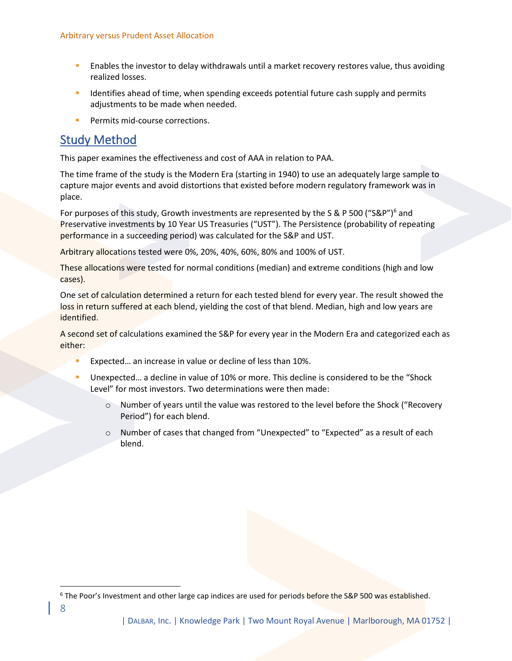- **EXECT ENDIOUS THE INVESTOR IDEO** in the investor to delay withdrawals until a market recovery restores value, thus avoiding realized losses.
- **■** Identifies ahead of time, when spending exceeds potential future cash supply and permits adjustments to be made when needed.
- Permits mid-course corrections.

## <span id="page-7-0"></span>Study Method

This paper examines the effectiveness and cost of AAA in relation to PAA.

The time frame of the study is the Modern Era (starting in 1940) to use an adequately large sample to capture major events and avoid distortions that existed before modern regulatory framework was in place.

For purposes of this study, Growth investments are represented by the S & P 500 ("S&P")<sup>6</sup> and Preservative investments by 10 Year US Treasuries ("UST"). The Persistence (probability of repeating performance in a succeeding period) was calculated for the S&P and UST.

Arbitrary allocations tested were 0%, 20%, 40%, 60%, 80% and 100% of UST.

These allocations were tested for normal conditions (median) and extreme conditions (high and low cases).

One set of calculation determined a return for each tested blend for every year. The result showed the loss in return suffered at each blend, yielding the cost of that blend. Median, high and low years are identified.

A second set of calculations examined the S&P for every year in the Modern Era and categorized each as either:

- Expected... an increase in value or decline of less than 10%.
- Unexpected... a decline in value of 10% or more. This decline is considered to be the "Shock Level" for most investors. Two determinations were then made:
	- $\circ$  Number of years until the value was restored to the level before the Shock ("Recovery Period") for each blend.
	- $\circ$  Number of cases that changed from "Unexpected" to "Expected" as a result of each blend.

<sup>6</sup> The Poor's Investment and other large cap indices are used for periods before the S&P 500 was established.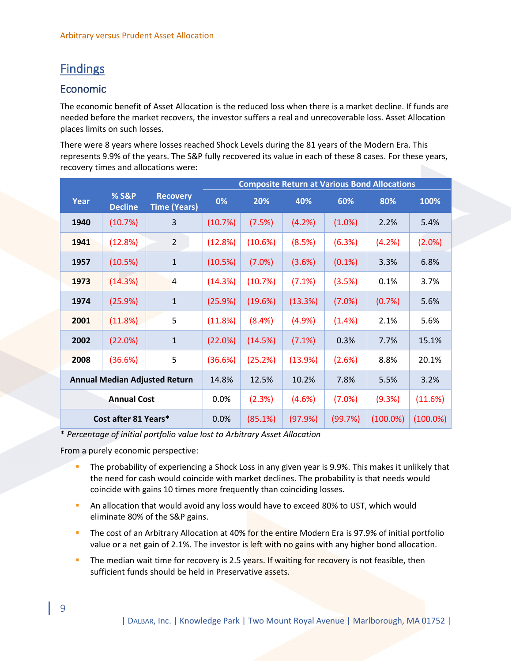# <span id="page-8-0"></span>Findings

## <span id="page-8-1"></span>Economic

The economic benefit of Asset Allocation is the reduced loss when there is a market decline. If funds are needed before the market recovers, the investor suffers a real and unrecoverable loss. Asset Allocation places limits on such losses.

There were 8 years where losses reached Shock Levels during the 81 years of the Modern Era. This represents 9.9% of the years. The S&P fully recovered its value in each of these 8 cases. For these years, recovery times and allocations were:

|                                      |                         |                                        | <b>Composite Return at Various Bond Allocations</b> |         |         |           |             |             |  |  |
|--------------------------------------|-------------------------|----------------------------------------|-----------------------------------------------------|---------|---------|-----------|-------------|-------------|--|--|
| Year                                 | % S&P<br><b>Decline</b> | <b>Recovery</b><br><b>Time (Years)</b> | 0%                                                  | 20%     | 40%     | 60%       | 80%         | 100%        |  |  |
| 1940                                 | (10.7%)                 | 3                                      | (10.7%)                                             | (7.5%)  | (4.2%)  | $(1.0\%)$ | 2.2%        | 5.4%        |  |  |
| 1941                                 | (12.8%)                 | $\overline{2}$                         | (12.8%)                                             | (10.6%) | (8.5%)  | (6.3%)    | (4.2%)      | (2.0%)      |  |  |
| 1957                                 | (10.5%)                 | $\mathbf 1$                            | (10.5%)                                             | (7.0%)  | (3.6%)  | $(0.1\%)$ | 3.3%        | 6.8%        |  |  |
| 1973                                 | (14.3%)                 | $\overline{4}$                         | (14.3%)                                             | (10.7%) | (7.1%)  | (3.5%)    | 0.1%        | 3.7%        |  |  |
| 1974                                 | (25.9%)                 | $\mathbf{1}$                           | (25.9%)                                             | (19.6%) | (13.3%) | (7.0%)    | (0.7%)      | 5.6%        |  |  |
| 2001                                 | (11.8%)                 | 5                                      | (11.8%)                                             | (8.4%)  | (4.9%   | $(1.4\%)$ | 2.1%        | 5.6%        |  |  |
| 2002                                 | (22.0%)                 | $\mathbf 1$                            | (22.0%)                                             | (14.5%) | (7.1%)  | 0.3%      | 7.7%        | 15.1%       |  |  |
| 2008                                 | (36.6%)                 | 5                                      | (36.6%)                                             | (25.2%) | (13.9%) | (2.6%)    | 8.8%        | 20.1%       |  |  |
| <b>Annual Median Adjusted Return</b> |                         | 14.8%                                  | 12.5%                                               | 10.2%   | 7.8%    | 5.5%      | 3.2%        |             |  |  |
|                                      | <b>Annual Cost</b>      |                                        | 0.0%                                                | (2.3%)  | (4.6%)  | (7.0%)    | (9.3%)      | (11.6%)     |  |  |
|                                      | Cost after 81 Years*    |                                        | 0.0%                                                | (85.1%) | (97.9%) | (99.7%)   | $(100.0\%)$ | $(100.0\%)$ |  |  |

\* *Percentage of initial portfolio value lost to Arbitrary Asset Allocation*

From a purely economic perspective:

- The probability of experiencing a Shock Loss in any given year is 9.9%. This makes it unlikely that the need for cash would coincide with market declines. The probability is that needs would coincide with gains 10 times more frequently than coinciding losses.
- An allocation that would avoid any loss would have to exceed 80% to UST, which would eliminate 80% of the S&P gains.
- **The cost of an Arbitrary Allocation at 40% for the entire Modern Era is 97.9% of initial portfolio** value or a net gain of 2.1%. The investor is left with no gains with any higher bond allocation.
- The median wait time for recovery is 2.5 years. If waiting for recovery is not feasible, then sufficient funds should be held in Preservative assets.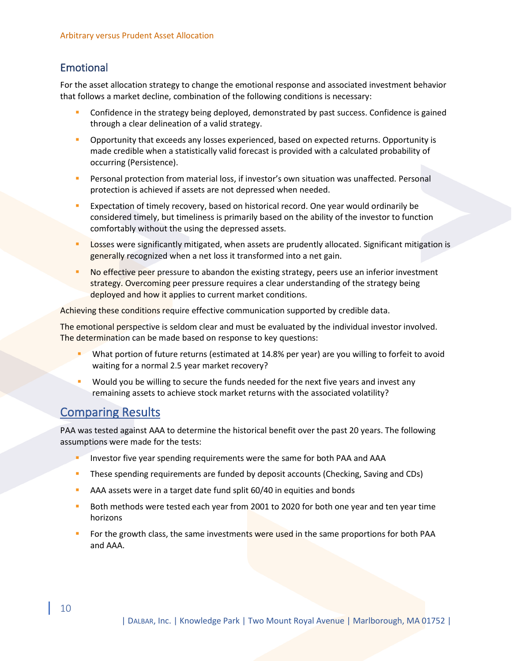## <span id="page-9-0"></span>Emotional

For the asset allocation strategy to change the emotional response and associated investment behavior that follows a market decline, combination of the following conditions is necessary:

- Confidence in the strategy being deployed, demonstrated by past success. Confidence is gained through a clear delineation of a valid strategy.
- Opportunity that exceeds any losses experienced, based on expected returns. Opportunity is made credible when a statistically valid forecast is provided with a calculated probability of occurring (Persistence).
- Personal protection from material loss, if investor's own situation was unaffected. Personal protection is achieved if assets are not depressed when needed.
- Expectation of timely recovery, based on historical record. One year would ordinarily be considered timely, but timeliness is primarily based on the ability of the investor to function comfortably without the using the depressed assets.
- Losses were significantly mitigated, when assets are prudently allocated. Significant mitigation is generally recognized when a net loss it transformed into a net gain.
- No effective peer pressure to abandon the existing strategy, peers use an inferior investment strategy. Overcoming peer pressure requires a clear understanding of the strategy being deployed and how it applies to current market conditions.

Achieving these conditions require effective communication supported by credible data.

The emotional perspective is seldom clear and must be evaluated by the individual investor involved. The determination can be made based on response to key questions:

- What portion of future returns (estimated at 14.8% per year) are you willing to forfeit to avoid waiting for a normal 2.5 year market recovery?
- Would you be willing to secure the funds needed for the next five years and invest any remaining assets to achieve stock market returns with the associated volatility?

## <span id="page-9-1"></span>Comparing Results

PAA was tested against AAA to determine the historical benefit over the past 20 years. The following assumptions were made for the tests:

- Investor five year spending requirements were the same for both PAA and AAA
- These spending requirements are funded by deposit accounts (Checking, Saving and CDs)
- AAA assets were in a target date fund split 60/40 in equities and bonds
- Both methods were tested each year from 2001 to 2020 for both one year and ten year time horizons
- For the growth class, the same investments were used in the same proportions for both PAA and AAA.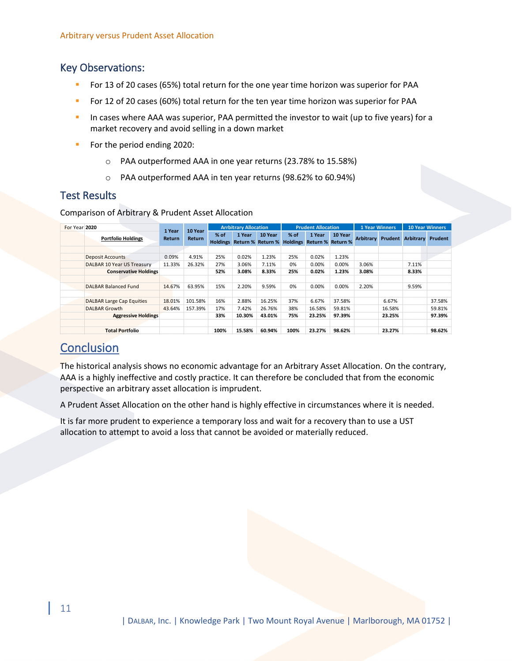## <span id="page-10-0"></span>Key Observations:

- For 13 of 20 cases (65%) total return for the one year time horizon was superior for PAA
- For 12 of 20 cases (60%) total return for the ten year time horizon was superior for PAA
- In cases where AAA was superior, PAA permitted the investor to wait (up to five years) for a market recovery and avoid selling in a down market
- For the period ending 2020:
	- o PAA outperformed AAA in one year returns (23.78% to 15.58%)
	- o PAA outperformed AAA in ten year returns (98.62% to 60.94%)

## <span id="page-10-1"></span>Test Results

Comparison of Arbitrary & Prudent Asset Allocation

| For Year 2020 |                                  | 1 Year        | 10 Year       |        | <b>Arrbitrary Allocation</b> |                                       |        | <b>Prudent Allocation</b>                   |         | <b>1 Year Winners</b> |        | <b>10 Year Winners</b>   |         |
|---------------|----------------------------------|---------------|---------------|--------|------------------------------|---------------------------------------|--------|---------------------------------------------|---------|-----------------------|--------|--------------------------|---------|
|               | <b>Portfolio Holdings</b>        | <b>Return</b> | <b>Return</b> | $%$ of | 1 Year                       | 10 Year<br>Holdings Return % Return % | $%$ of | 1 Year<br><b>Holdings Return % Return %</b> | 10 Year | <b>Arbitrary</b>      |        | <b>Prudent Arbitrary</b> | Prudent |
|               |                                  |               |               |        |                              |                                       |        |                                             |         |                       |        |                          |         |
|               | <b>Deposit Accounts</b>          | 0.09%         | 4.91%         | 25%    | 0.02%                        | 1.23%                                 | 25%    | 0.02%                                       | 1.23%   |                       |        |                          |         |
|               | DALBAR 10 Year US Treasury       | 11.33%        | 26.32%        | 27%    | 3.06%                        | 7.11%                                 | 0%     | 0.00%                                       | 0.00%   | 3.06%                 |        | 7.11%                    |         |
|               | <b>Conservative Holdings</b>     |               |               | 52%    | 3.08%                        | 8.33%                                 | 25%    | 0.02%                                       | 1.23%   | 3.08%                 |        | 8.33%                    |         |
|               |                                  |               |               |        |                              |                                       |        |                                             |         |                       |        |                          |         |
|               | <b>DALBAR Balanced Fund</b>      | 14.67%        | 63.95%        | 15%    | 2.20%                        | 9.59%                                 | 0%     | 0.00%                                       | 0.00%   | 2.20%                 |        | 9.59%                    |         |
|               |                                  |               |               |        |                              |                                       |        |                                             |         |                       |        |                          |         |
|               | <b>DALBAR Large Cap Equities</b> | 18.01%        | 101.58%       | 16%    | 2.88%                        | 16.25%                                | 37%    | 6.67%                                       | 37.58%  |                       | 6.67%  |                          | 37.58%  |
|               | <b>DALBAR Growth</b>             | 43.64%        | 157.39%       | 17%    | 7.42%                        | 26.76%                                | 38%    | 16.58%                                      | 59.81%  |                       | 16.58% |                          | 59.81%  |
|               | <b>Aggressive Holdings</b>       |               |               | 33%    | 10.30%                       | 43.01%                                | 75%    | 23.25%                                      | 97.39%  |                       | 23.25% |                          | 97.39%  |
|               |                                  |               |               |        |                              |                                       |        |                                             |         |                       |        |                          |         |
|               | <b>Total Portfolio</b>           |               |               | 100%   | 15.58%                       | 60.94%                                | 100%   | 23.27%                                      | 98.62%  |                       | 23.27% |                          | 98.62%  |

## <span id="page-10-2"></span>**Conclusion**

The historical analysis shows no economic advantage for an Arbitrary Asset Allocation. On the contrary, AAA is a highly ineffective and costly practice. It can therefore be concluded that from the economic perspective an arbitrary asset allocation is imprudent.

A Prudent Asset Allocation on the other hand is highly effective in circumstances where it is needed.

It is far more prudent to experience a temporary loss and wait for a recovery than to use a UST allocation to attempt to avoid a loss that cannot be avoided or materially reduced.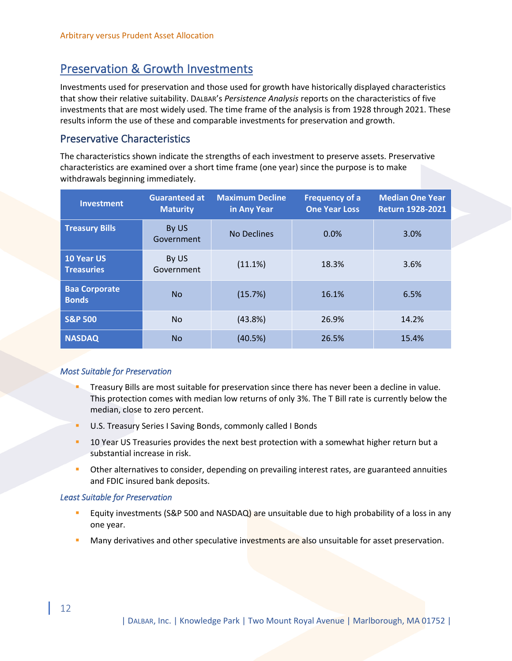## <span id="page-11-0"></span>Preservation & Growth Investments

Investments used for preservation and those used for growth have historically displayed characteristics that show their relative suitability. DALBAR's *Persistence Analysis* reports on the characteristics of five investments that are most widely used. The time frame of the analysis is from 1928 through 2021. These results inform the use of these and comparable investments for preservation and growth.

## <span id="page-11-1"></span>Preservative Characteristics

The characteristics shown indicate the strengths of each investment to preserve assets. Preservative characteristics are examined over a short time frame (one year) since the purpose is to make withdrawals beginning immediately.

| <b>Investment</b>                      | <b>Guaranteed at</b><br><b>Maturity</b> | <b>Maximum Decline</b><br>in Any Year | <b>Frequency of a</b><br><b>One Year Loss</b> | <b>Median One Year</b><br><b>Return 1928-2021</b> |
|----------------------------------------|-----------------------------------------|---------------------------------------|-----------------------------------------------|---------------------------------------------------|
| <b>Treasury Bills</b>                  | By US<br>Government                     | No Declines                           | 0.0%                                          | 3.0%                                              |
| <b>10 Year US</b><br><b>Treasuries</b> | By US<br>Government                     | (11.1%)                               | 18.3%                                         | 3.6%                                              |
| <b>Baa Corporate</b><br><b>Bonds</b>   | <b>No</b>                               | (15.7%)                               | 16.1%                                         | 6.5%                                              |
| <b>S&amp;P 500</b>                     | No.                                     | (43.8%)                               | 26.9%                                         | 14.2%                                             |
| <b>NASDAQ</b>                          | No.                                     | (40.5%)                               | 26.5%                                         | 15.4%                                             |

#### *Most Suitable for Preservation*

- Treasury Bills are most suitable for preservation since there has never been a decline in value. This protection comes with median low returns of only 3%. The T Bill rate is currently below the median, close to zero percent.
- U.S. Treasury Series I Saving Bonds, commonly called I Bonds
- 10 Year US Treasuries provides the next best protection with a somewhat higher return but a substantial increase in risk.
- Other alternatives to consider, depending on prevailing interest rates, are guaranteed annuities and FDIC insured bank deposits.

#### *Least Suitable for Preservation*

- Equity investments (S&P 500 and NASDAQ) are unsuitable due to high probability of a loss in any one year.
- Many derivatives and other speculative investments are also unsuitable for asset preservation.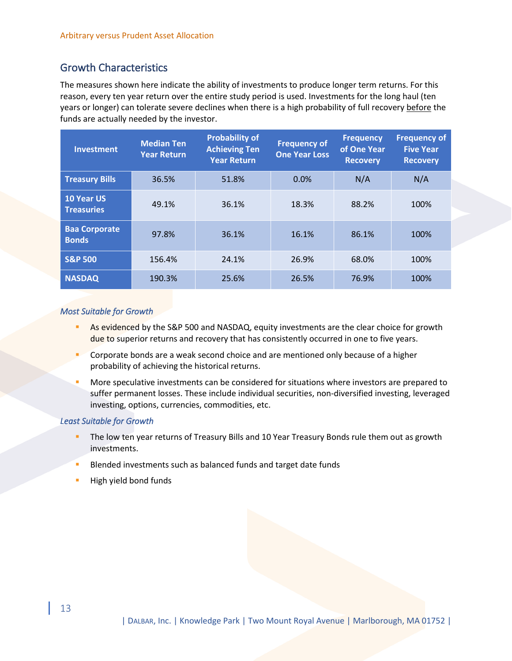## <span id="page-12-0"></span>Growth Characteristics

The measures shown here indicate the ability of investments to produce longer term returns. For this reason, every ten year return over the entire study period is used. Investments for the long haul (ten years or longer) can tolerate severe declines when there is a high probability of full recovery before the funds are actually needed by the investor.

| <b>Investment</b>                      | <b>Median Ten</b><br><b>Year Return</b> | <b>Probability of</b><br><b>Achieving Ten</b><br><b>Year Return</b> | <b>Frequency of</b><br><b>One Year Loss</b> | <b>Frequency</b><br>of One Year<br><b>Recovery</b> | <b>Frequency of</b><br><b>Five Year</b><br><b>Recovery</b> |
|----------------------------------------|-----------------------------------------|---------------------------------------------------------------------|---------------------------------------------|----------------------------------------------------|------------------------------------------------------------|
| <b>Treasury Bills</b>                  | 36.5%                                   | 51.8%                                                               | 0.0%                                        | N/A                                                | N/A                                                        |
| <b>10 Year US</b><br><b>Treasuries</b> | 49.1%                                   | 36.1%                                                               | 18.3%                                       | 88.2%                                              | 100%                                                       |
| <b>Baa Corporate</b><br><b>Bonds</b>   | 97.8%                                   | 36.1%                                                               | 16.1%                                       | 86.1%                                              | 100%                                                       |
| <b>S&amp;P 500</b>                     | 156.4%                                  | 24.1%                                                               | 26.9%                                       | 68.0%                                              | 100%                                                       |
| <b>NASDAQ</b>                          | 190.3%                                  | 25.6%                                                               | 26.5%                                       | 76.9%                                              | 100%                                                       |

#### *Most Suitable for Growth*

- As evidenced by the S&P 500 and NASDAQ, equity investments are the clear choice for growth due to superior returns and recovery that has consistently occurred in one to five years.
- Corporate bonds are a weak second choice and are mentioned only because of a higher probability of achieving the historical returns.
- More speculative investments can be considered for situations where investors are prepared to suffer permanent losses. These include individual securities, non-diversified investing, leveraged investing, options, currencies, commodities, etc.

#### *Least Suitable for Growth*

- The low ten year returns of Treasury Bills and 10 Year Treasury Bonds rule them out as growth investments.
- Blended investments such as balanced funds and target date funds
- High yield bond funds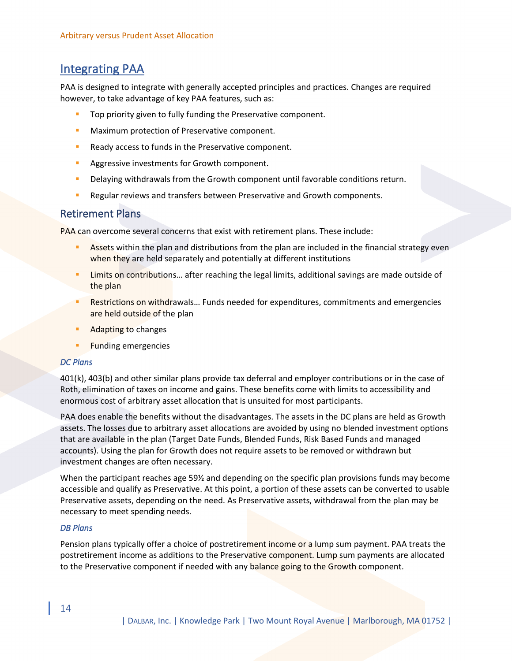## <span id="page-13-0"></span>Integrating PAA

PAA is designed to integrate with generally accepted principles and practices. Changes are required however, to take advantage of key PAA features, such as:

- Top priority given to fully funding the Preservative component.
- **EXECT** Maximum protection of Preservative component.
- Ready access to funds in the Preservative component.
- Aggressive investments for Growth component.
- **Delaying withdrawals from the Growth component until favorable conditions return.**
- Regular reviews and transfers between Preservative and Growth components.

### <span id="page-13-1"></span>Retirement Plans

PAA can overcome several concerns that exist with retirement plans. These include:

- **EXECT:** Assets within the plan and distributions from the plan are included in the financial strategy even when they are held separately and potentially at different institutions
- Limits on contributions... after reaching the legal limits, additional savings are made outside of the plan
- Restrictions on withdrawals... Funds needed for expenditures, commitments and emergencies are held outside of the plan
- **Adapting to changes**
- **Funding emergencies**

#### *DC Plans*

401(k), 403(b) and other similar plans provide tax deferral and employer contributions or in the case of Roth, elimination of taxes on income and gains. These benefits come with limits to accessibility and enormous cost of arbitrary asset allocation that is unsuited for most participants.

PAA does enable the benefits without the disadvantages. The assets in the DC plans are held as Growth assets. The losses due to arbitrary asset allocations are avoided by using no blended investment options that are available in the plan (Target Date Funds, Blended Funds, Risk Based Funds and managed accounts). Using the plan for Growth does not require assets to be removed or withdrawn but investment changes are often necessary.

When the participant reaches age 59½ and depending on the specific plan provisions funds may become accessible and qualify as Preservative. At this point, a portion of these assets can be converted to usable Preservative assets, depending on the need. As Preservative assets, withdrawal from the plan may be necessary to meet spending needs.

#### *DB Plans*

Pension plans typically offer a choice of postretirement income or a lump sum payment. PAA treats the postretirement income as additions to the Preservative component. Lump sum payments are allocated to the Preservative component if needed with any balance going to the Growth component.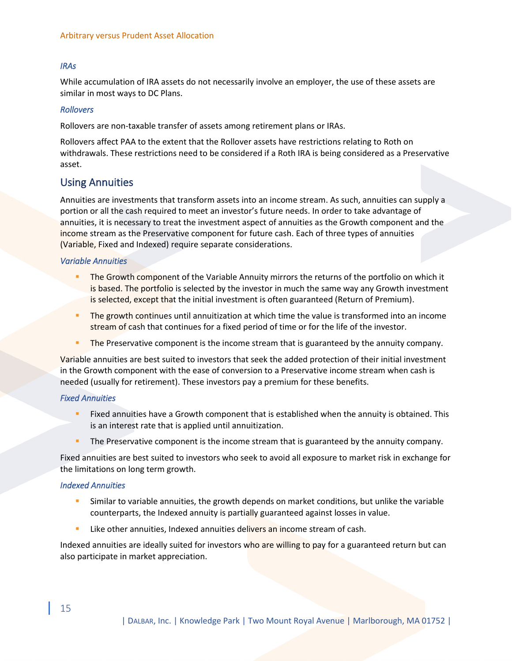#### *IRAs*

While accumulation of IRA assets do not necessarily involve an employer, the use of these assets are similar in most ways to DC Plans.

#### *Rollovers*

Rollovers are non-taxable transfer of assets among retirement plans or IRAs.

Rollovers affect PAA to the extent that the Rollover assets have restrictions relating to Roth on withdrawals. These restrictions need to be considered if a Roth IRA is being considered as a Preservative asset.

### <span id="page-14-0"></span>Using Annuities

Annuities are investments that transform assets into an income stream. As such, annuities can supply a portion or all the cash required to meet an investor's future needs. In order to take advantage of annuities, it is necessary to treat the investment aspect of annuities as the Growth component and the income stream as the Preservative component for future cash. Each of three types of annuities (Variable, Fixed and Indexed) require separate considerations.

#### *Variable Annuities*

- The Growth component of the Variable Annuity mirrors the returns of the portfolio on which it is based. The portfolio is selected by the investor in much the same way any Growth investment is selected, except that the initial investment is often guaranteed (Return of Premium).
- The growth continues until annuitization at which time the value is transformed into an income stream of cash that continues for a fixed period of time or for the life of the investor.
- The Preservative component is the income stream that is guaranteed by the annuity company.

Variable annuities are best suited to investors that seek the added protection of their initial investment in the Growth component with the ease of conversion to a Preservative income stream when cash is needed (usually for retirement). These investors pay a premium for these benefits.

#### *Fixed Annuities*

- Fixed annuities have a Growth component that is established when the annuity is obtained. This is an interest rate that is applied until annuitization.
- **The Preservative component is the income stream that is guaranteed by the annuity company.**

Fixed annuities are best suited to investors who seek to avoid all exposure to market risk in exchange for the limitations on long term growth.

#### *Indexed Annuities*

- Similar to variable annuities, the growth depends on market conditions, but unlike the variable counterparts, the Indexed annuity is partially guaranteed against losses in value.
- Like other annuities, Indexed annuities delivers an income stream of cash.

Indexed annuities are ideally suited for investors who are willing to pay for a guaranteed return but can also participate in market appreciation.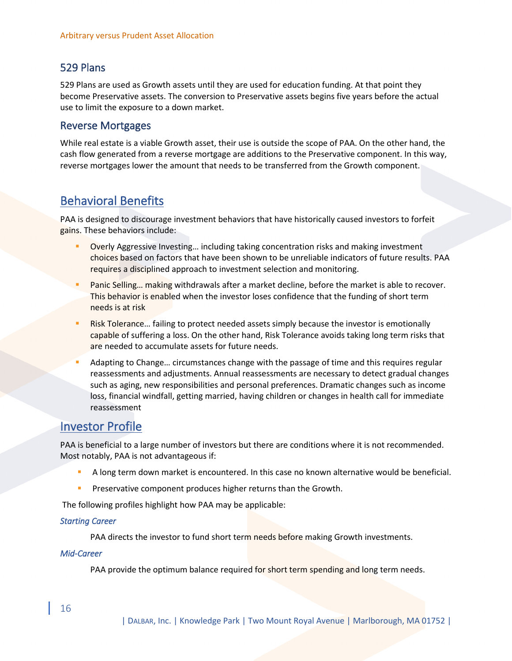## <span id="page-15-0"></span>529 Plans

529 Plans are used as Growth assets until they are used for education funding. At that point they become Preservative assets. The conversion to Preservative assets begins five years before the actual use to limit the exposure to a down market.

### <span id="page-15-1"></span>Reverse Mortgages

While real estate is a viable Growth asset, their use is outside the scope of PAA. On the other hand, the cash flow generated from a reverse mortgage are additions to the Preservative component. In this way, reverse mortgages lower the amount that needs to be transferred from the Growth component.

## <span id="page-15-2"></span>Behavioral Benefits

PAA is designed to discourage investment behaviors that have historically caused investors to forfeit gains. These behaviors include:

- Overly Aggressive Investing... including taking concentration risks and making investment choices based on factors that have been shown to be unreliable indicators of future results. PAA requires a disciplined approach to investment selection and monitoring.
- Panic Selling... making withdrawals after a market decline, before the market is able to recover. This behavior is enabled when the investor loses confidence that the funding of short term needs is at risk
- Risk Tolerance... failing to protect needed assets simply because the investor is emotionally capable of suffering a loss. On the other hand, Risk Tolerance avoids taking long term risks that are needed to accumulate assets for future needs.
- Adapting to Change... circumstances change with the passage of time and this requires regular reassessments and adjustments. Annual reassessments are necessary to detect gradual changes such as aging, new responsibilities and personal preferences. Dramatic changes such as income loss, financial windfall, getting married, having children or changes in health call for immediate reassessment

## <span id="page-15-3"></span>Investor Profile

PAA is beneficial to a large number of investors but there are conditions where it is not recommended. Most notably, PAA is not advantageous if:

- A long term down market is encountered. In this case no known alternative would be beneficial.
- Preservative component produces higher returns than the Growth.

The following profiles highlight how PAA may be applicable:

#### *Starting Career*

PAA directs the investor to fund short term needs before making Growth investments.

#### *Mid-Career*

PAA provide the optimum balance required for short term spending and long term needs.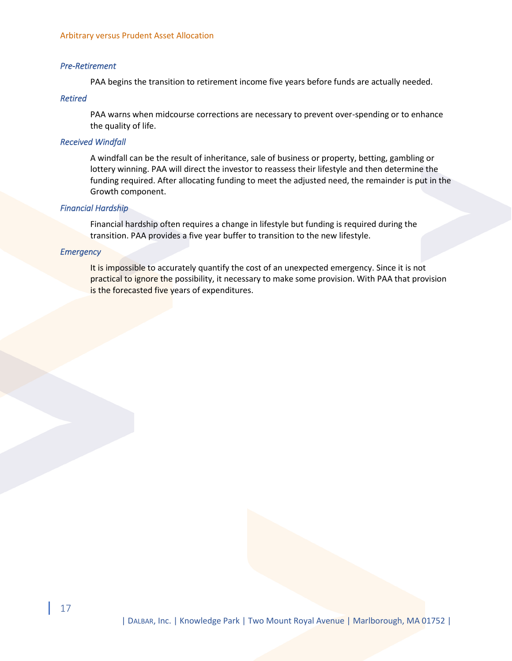#### *Pre-Retirement*

PAA begins the transition to retirement income five years before funds are actually needed.

#### *Retired*

PAA warns when midcourse corrections are necessary to prevent over-spending or to enhance the quality of life.

#### *Received Windfall*

A windfall can be the result of inheritance, sale of business or property, betting, gambling or lottery winning. PAA will direct the investor to reassess their lifestyle and then determine the funding required. After allocating funding to meet the adjusted need, the remainder is put in the Growth component.

#### *Financial Hardship*

Financial hardship often requires a change in lifestyle but funding is required during the transition. PAA provides a five year buffer to transition to the new lifestyle.

#### *Emergency*

It is impossible to accurately quantify the cost of an unexpected emergency. Since it is not practical to ignore the possibility, it necessary to make some provision. With PAA that provision is the forecasted five years of expenditures.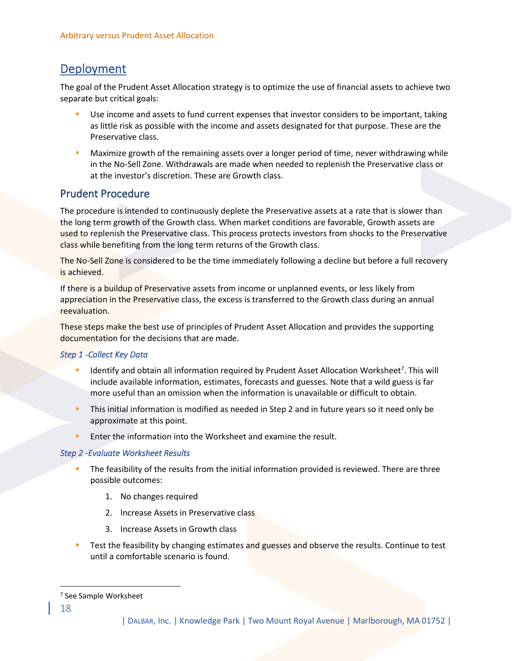## <span id="page-17-0"></span>Deployment

The goal of the Prudent Asset Allocation strategy is to optimize the use of financial assets to achieve two separate but critical goals:

- **■** Use income and assets to fund current expenses that investor considers to be important, taking as little risk as possible with the income and assets designated for that purpose. These are the Preservative class.
- Maximize growth of the remaining assets over a longer period of time, never withdrawing while in the No-Sell Zone. Withdrawals are made when needed to replenish the Preservative class or at the investor's discretion. These are Growth class.

## <span id="page-17-1"></span>Prudent Procedure

The procedure is intended to continuously deplete the Preservative assets at a rate that is slower than the long term growth of the Growth class. When market conditions are favorable, Growth assets are used to replenish the Preservative class. This process protects investors from shocks to the Preservative class while benefiting from the long term returns of the Growth class.

The No-Sell Zone is considered to be the time immediately following a decline but before a full recovery is achieved.

If there is a buildup of Preservative assets from income or unplanned events, or less likely from appreciation in the Preservative class, the excess is transferred to the Growth class during an annual reevaluation.

These steps make the best use of principles of Prudent Asset Allocation and provides the supporting documentation for the decisions that are made.

### *Step 1 -Collect Key Data*

- Identify and obtain all information required by Prudent Asset Allocation Worksheet<sup>7</sup>. This will include available information, estimates, forecasts and guesses. Note that a wild guess is far more useful than an omission when the information is unavailable or difficult to obtain.
- This initial information is modified as needed in Step 2 and in future years so it need only be approximate at this point.
- Enter the information into the Worksheet and examine the result.

### *Step 2 -Evaluate Worksheet Results*

- The feasibility of the results from the initial information provided is reviewed. There are three possible outcomes:
	- 1. No changes required
	- 2. Increase Assets in Preservative class
	- 3. Increase Assets in Growth class
- Test the feasibility by changing estimates and guesses and observe the results. Continue to test until a comfortable scenario is found.

<sup>7</sup> See Sample Worksheet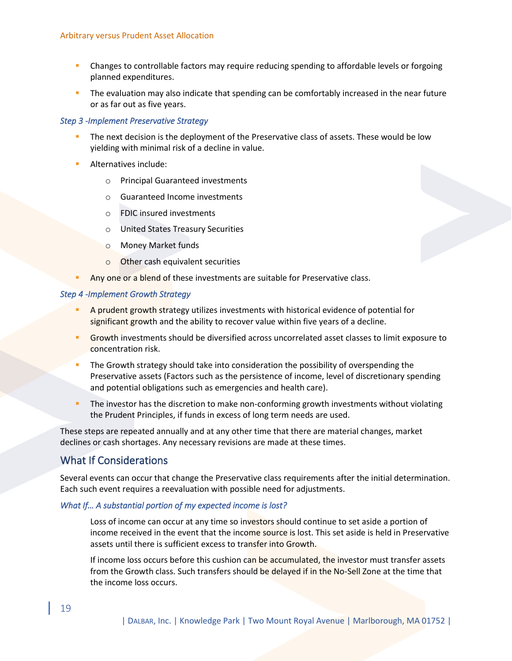- **Changes to controllable factors may require reducing spending to affordable levels or forgoing** planned expenditures.
- **•** The evaluation may also indicate that spending can be comfortably increased in the near future or as far out as five years.

#### *Step 3 -Implement Preservative Strategy*

- The next decision is the deployment of the Preservative class of assets. These would be low yielding with minimal risk of a decline in value.
- Alternatives include:
	- o Principal Guaranteed investments
	- o Guaranteed Income investments
	- o FDIC insured investments
	- o United States Treasury Securities
	- o Money Market funds
	- o Other cash equivalent securities
- Any one or a blend of these investments are suitable for Preservative class.

#### *Step 4 -Implement Growth Strategy*

- A prudent growth strategy utilizes investments with historical evidence of potential for significant growth and the ability to recover value within five years of a decline.
- Growth investments should be diversified across uncorrelated asset classes to limit exposure to concentration risk.
- The Growth strategy should take into consideration the possibility of overspending the Preservative assets (Factors such as the persistence of income, level of discretionary spending and potential obligations such as emergencies and health care).
- The investor has the discretion to make non-conforming growth investments without violating the Prudent Principles, if funds in excess of long term needs are used.

These steps are repeated annually and at any other time that there are material changes, market declines or cash shortages. Any necessary revisions are made at these times.

### <span id="page-18-0"></span>What If Considerations

Several events can occur that change the Preservative class requirements after the initial determination. Each such event requires a reevaluation with possible need for adjustments.

#### *What If… A substantial portion of my expected income is lost?*

Loss of income can occur at any time so investors should continue to set aside a portion of income received in the event that the income source is lost. This set aside is held in Preservative assets until there is sufficient excess to transfer into Growth.

If income loss occurs before this cushion can be accumulated, the investor must transfer assets from the Growth class. Such transfers should be delayed if in the No-Sell Zone at the time that the income loss occurs.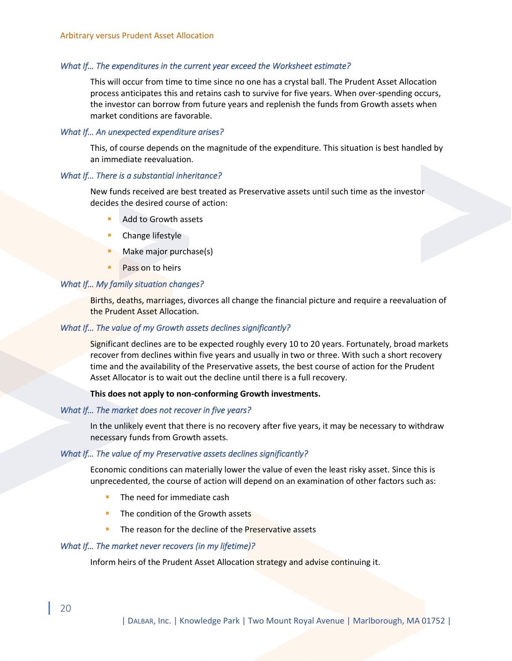#### *What If… The expenditures in the current year exceed the Worksheet estimate?*

This will occur from time to time since no one has a crystal ball. The Prudent Asset Allocation process anticipates this and retains cash to survive for five years. When over-spending occurs, the investor can borrow from future years and replenish the funds from Growth assets when market conditions are favorable.

#### *What If… An unexpected expenditure arises?*

This, of course depends on the magnitude of the expenditure. This situation is best handled by an immediate reevaluation.

#### *What If… There is a substantial inheritance?*

New funds received are best treated as Preservative assets until such time as the investor decides the desired course of action:

- Add to Growth assets
- Change lifestyle
- Make major purchase(s)
- Pass on to heirs

#### *What If… My family situation changes?*

Births, deaths, marriages, divorces all change the financial picture and require a reevaluation of the Prudent Asset Allocation.

#### *What If… The value of my Growth assets declines significantly?*

Significant declines are to be expected roughly every 10 to 20 years. Fortunately, broad markets recover from declines within five years and usually in two or three. With such a short recovery time and the availability of the Preservative assets, the best course of action for the Prudent Asset Allocator is to wait out the decline until there is a full recovery.

**This does not apply to non-conforming Growth investments.**

#### *What If… The market does not recover in five years?*

In the unlikely event that there is no recovery after five years, it may be necessary to withdraw necessary funds from Growth assets.

#### *What If… The value of my Preservative assets declines significantly?*

Economic conditions can materially lower the value of even the least risky asset. Since this is unprecedented, the course of action will depend on an examination of other factors such as:

- The need for immediate cash
- The condition of the Growth assets
- The reason for the decline of the Preservative assets

#### *What If… The market never recovers (in my lifetime)?*

Inform heirs of the Prudent Asset Allocation strategy and advise continuing it.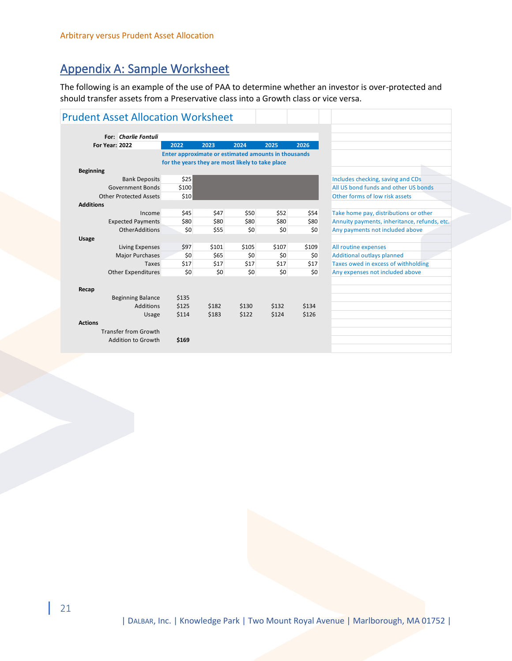# <span id="page-20-0"></span>Appendix A: Sample Worksheet

The following is an example of the use of PAA to determine whether an investor is over-protected and should transfer assets from a Preservative class into a Growth class or vice versa.

| <b>Prudent Asset Allocation Worksheet</b> |                                                     |       |       |       |       |                                              |
|-------------------------------------------|-----------------------------------------------------|-------|-------|-------|-------|----------------------------------------------|
|                                           |                                                     |       |       |       |       |                                              |
| <b>For: Charlie Fontuli</b>               |                                                     |       |       |       |       |                                              |
| <b>For Year: 2022</b>                     | 2022                                                | 2023  | 2024  | 2025  | 2026  |                                              |
|                                           | Enter approximate or estimated amounts in thousands |       |       |       |       |                                              |
|                                           | for the years they are most likely to take place    |       |       |       |       |                                              |
| <b>Beginning</b>                          |                                                     |       |       |       |       |                                              |
| <b>Bank Deposits</b>                      | \$25                                                |       |       |       |       | Includes checking, saving and CDs            |
| Government Bonds                          | \$100                                               |       |       |       |       | All US bond funds and other US bonds         |
| <b>Other Protected Assets</b>             | \$10                                                |       |       |       |       | Other forms of low risk assets               |
| <b>Additions</b>                          |                                                     |       |       |       |       |                                              |
| Income                                    | \$45                                                | \$47  | \$50  | \$52  | \$54  | Take home pay, distributions or other        |
| <b>Expected Payments</b>                  | \$80                                                | \$80  | \$80  | \$80  | \$80  | Annuity payments, inheritance, refunds, etc. |
| <b>OtherAdditions</b>                     | \$0                                                 | \$55  | 50    | \$0   | \$0   | Any payments not included above              |
| <b>Usage</b>                              |                                                     |       |       |       |       |                                              |
| Living Expenses                           | \$97                                                | \$101 | \$105 | \$107 | \$109 | All routine expenses                         |
| Major Purchases                           | \$0                                                 | \$65  | \$0   | \$0   | \$0   | <b>Additional outlays planned</b>            |
| Taxes                                     | \$17                                                | \$17  | \$17  | \$17  | \$17  | Taxes owed in excess of withholding          |
| <b>Other Expenditures</b>                 | \$0                                                 | \$0   | 50    | \$0   | \$0   | Any expenses not included above              |
| Recap                                     |                                                     |       |       |       |       |                                              |
| <b>Beginning Balance</b>                  | \$135                                               |       |       |       |       |                                              |
| <b>Additions</b>                          | \$125                                               | \$182 | \$130 | \$132 | \$134 |                                              |
| Usage                                     | \$114                                               | \$183 | \$122 | \$124 | \$126 |                                              |
| <b>Actions</b>                            |                                                     |       |       |       |       |                                              |
| <b>Transfer from Growth</b>               |                                                     |       |       |       |       |                                              |
| Addition to Growth                        | \$169                                               |       |       |       |       |                                              |